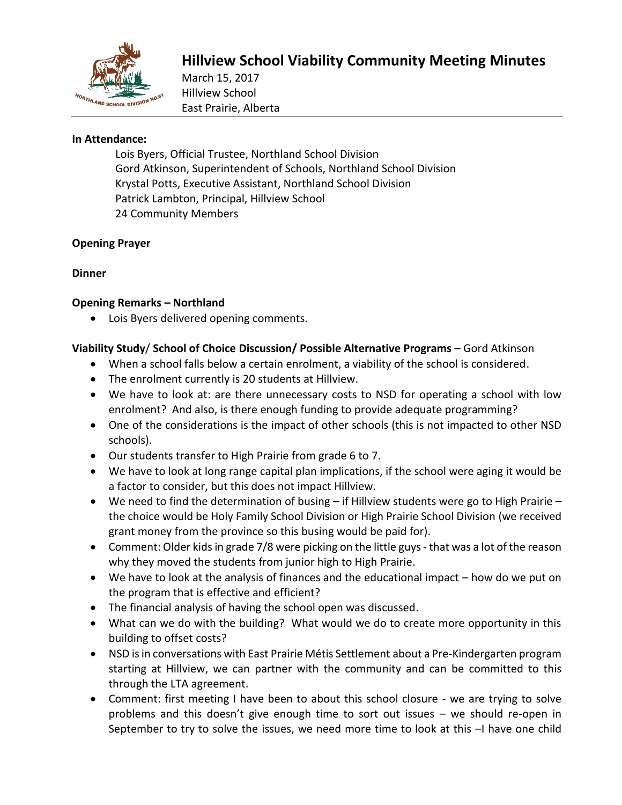

# **Hillview School Viability Community Meeting Minutes**

March 15, 2017 Hillview School East Prairie, Alberta

#### **In Attendance:**

Lois Byers, Official Trustee, Northland School Division Gord Atkinson, Superintendent of Schools, Northland School Division Krystal Potts, Executive Assistant, Northland School Division Patrick Lambton, Principal, Hillview School 24 Community Members

#### **Opening Prayer**

## **Dinner**

## **Opening Remarks – Northland**

Lois Byers delivered opening comments.

## **Viability Study**/ **School of Choice Discussion/ Possible Alternative Programs** – Gord Atkinson

- When a school falls below a certain enrolment, a viability of the school is considered.
- The enrolment currently is 20 students at Hillview.
- We have to look at: are there unnecessary costs to NSD for operating a school with low enrolment? And also, is there enough funding to provide adequate programming?
- One of the considerations is the impact of other schools (this is not impacted to other NSD schools).
- Our students transfer to High Prairie from grade 6 to 7.
- We have to look at long range capital plan implications, if the school were aging it would be a factor to consider, but this does not impact Hillview.
- We need to find the determination of busing if Hillview students were go to High Prairie the choice would be Holy Family School Division or High Prairie School Division (we received grant money from the province so this busing would be paid for).
- Comment: Older kidsin grade 7/8 were picking on the little guys that was a lot of the reason why they moved the students from junior high to High Prairie.
- We have to look at the analysis of finances and the educational impact how do we put on the program that is effective and efficient?
- The financial analysis of having the school open was discussed.
- What can we do with the building? What would we do to create more opportunity in this building to offset costs?
- NSD is in conversations with East Prairie Métis Settlement about a Pre-Kindergarten program starting at Hillview, we can partner with the community and can be committed to this through the LTA agreement.
- Comment: first meeting I have been to about this school closure we are trying to solve problems and this doesn't give enough time to sort out issues – we should re-open in September to try to solve the issues, we need more time to look at this -I have one child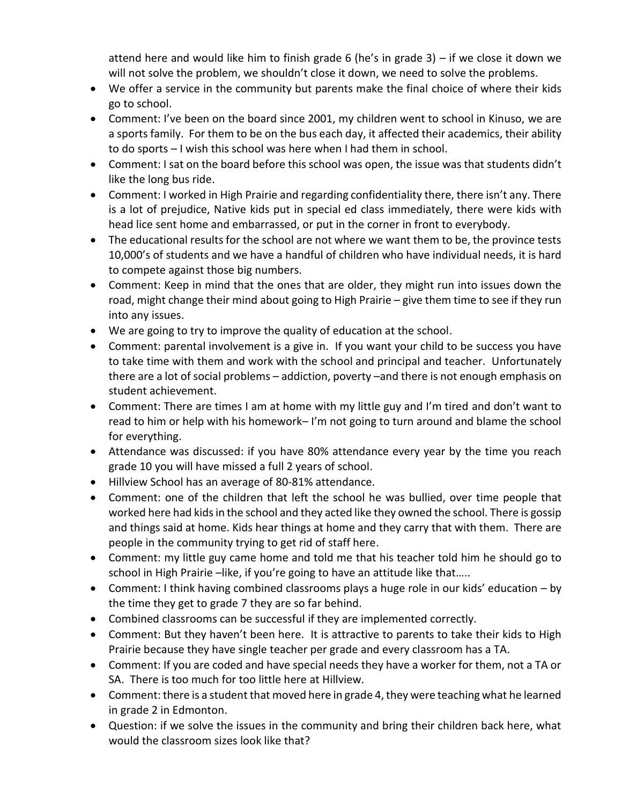attend here and would like him to finish grade 6 (he's in grade 3) – if we close it down we will not solve the problem, we shouldn't close it down, we need to solve the problems.

- We offer a service in the community but parents make the final choice of where their kids go to school.
- Comment: I've been on the board since 2001, my children went to school in Kinuso, we are a sports family. For them to be on the bus each day, it affected their academics, their ability to do sports – I wish this school was here when I had them in school.
- Comment: I sat on the board before this school was open, the issue was that students didn't like the long bus ride.
- Comment: I worked in High Prairie and regarding confidentiality there, there isn't any. There is a lot of prejudice, Native kids put in special ed class immediately, there were kids with head lice sent home and embarrassed, or put in the corner in front to everybody.
- The educational results for the school are not where we want them to be, the province tests 10,000's of students and we have a handful of children who have individual needs, it is hard to compete against those big numbers.
- Comment: Keep in mind that the ones that are older, they might run into issues down the road, might change their mind about going to High Prairie – give them time to see if they run into any issues.
- We are going to try to improve the quality of education at the school.
- Comment: parental involvement is a give in. If you want your child to be success you have to take time with them and work with the school and principal and teacher. Unfortunately there are a lot of social problems – addiction, poverty –and there is not enough emphasis on student achievement.
- Comment: There are times I am at home with my little guy and I'm tired and don't want to read to him or help with his homework– I'm not going to turn around and blame the school for everything.
- Attendance was discussed: if you have 80% attendance every year by the time you reach grade 10 you will have missed a full 2 years of school.
- Hillview School has an average of 80-81% attendance.
- Comment: one of the children that left the school he was bullied, over time people that worked here had kids in the school and they acted like they owned the school. There is gossip and things said at home. Kids hear things at home and they carry that with them. There are people in the community trying to get rid of staff here.
- Comment: my little guy came home and told me that his teacher told him he should go to school in High Prairie –like, if you're going to have an attitude like that.....
- Comment: I think having combined classrooms plays a huge role in our kids' education by the time they get to grade 7 they are so far behind.
- Combined classrooms can be successful if they are implemented correctly.
- Comment: But they haven't been here. It is attractive to parents to take their kids to High Prairie because they have single teacher per grade and every classroom has a TA.
- Comment: If you are coded and have special needs they have a worker for them, not a TA or SA. There is too much for too little here at Hillview.
- Comment: there is a student that moved here in grade 4, they were teaching what he learned in grade 2 in Edmonton.
- Question: if we solve the issues in the community and bring their children back here, what would the classroom sizes look like that?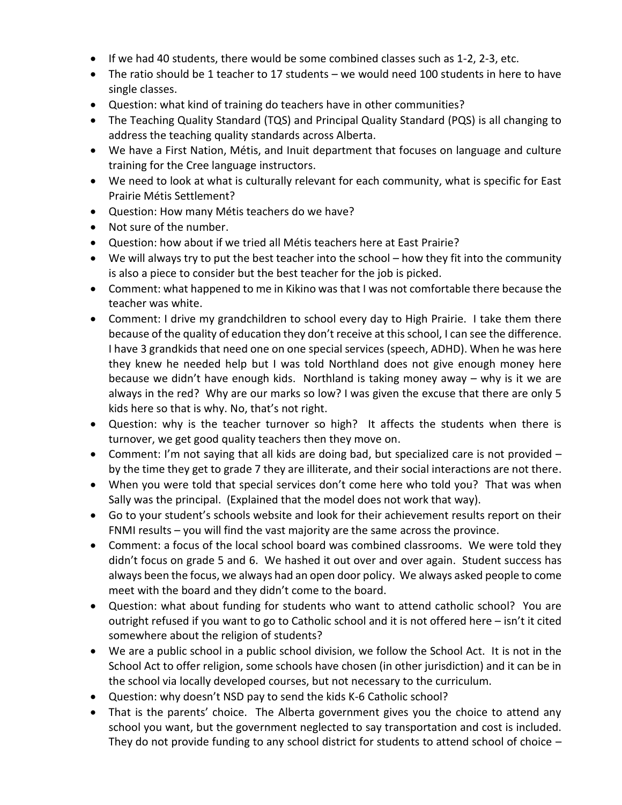- $\bullet$  If we had 40 students, there would be some combined classes such as 1-2, 2-3, etc.
- The ratio should be 1 teacher to 17 students we would need 100 students in here to have single classes.
- Question: what kind of training do teachers have in other communities?
- The Teaching Quality Standard (TQS) and Principal Quality Standard (PQS) is all changing to address the teaching quality standards across Alberta.
- We have a First Nation, Métis, and Inuit department that focuses on language and culture training for the Cree language instructors.
- We need to look at what is culturally relevant for each community, what is specific for East Prairie Métis Settlement?
- Question: How many Métis teachers do we have?
- Not sure of the number.
- Question: how about if we tried all Métis teachers here at East Prairie?
- We will always try to put the best teacher into the school how they fit into the community is also a piece to consider but the best teacher for the job is picked.
- Comment: what happened to me in Kikino was that I was not comfortable there because the teacher was white.
- Comment: I drive my grandchildren to school every day to High Prairie. I take them there because of the quality of education they don't receive at this school, I can see the difference. I have 3 grandkids that need one on one special services (speech, ADHD). When he was here they knew he needed help but I was told Northland does not give enough money here because we didn't have enough kids. Northland is taking money away – why is it we are always in the red? Why are our marks so low? I was given the excuse that there are only 5 kids here so that is why. No, that's not right.
- Question: why is the teacher turnover so high? It affects the students when there is turnover, we get good quality teachers then they move on.
- Comment: I'm not saying that all kids are doing bad, but specialized care is not provided by the time they get to grade 7 they are illiterate, and their social interactions are not there.
- When you were told that special services don't come here who told you? That was when Sally was the principal. (Explained that the model does not work that way).
- Go to your student's schools website and look for their achievement results report on their FNMI results – you will find the vast majority are the same across the province.
- Comment: a focus of the local school board was combined classrooms. We were told they didn't focus on grade 5 and 6. We hashed it out over and over again. Student success has always been the focus, we always had an open door policy. We always asked people to come meet with the board and they didn't come to the board.
- Question: what about funding for students who want to attend catholic school? You are outright refused if you want to go to Catholic school and it is not offered here – isn't it cited somewhere about the religion of students?
- We are a public school in a public school division, we follow the School Act. It is not in the School Act to offer religion, some schools have chosen (in other jurisdiction) and it can be in the school via locally developed courses, but not necessary to the curriculum.
- Question: why doesn't NSD pay to send the kids K-6 Catholic school?
- That is the parents' choice. The Alberta government gives you the choice to attend any school you want, but the government neglected to say transportation and cost is included. They do not provide funding to any school district for students to attend school of choice –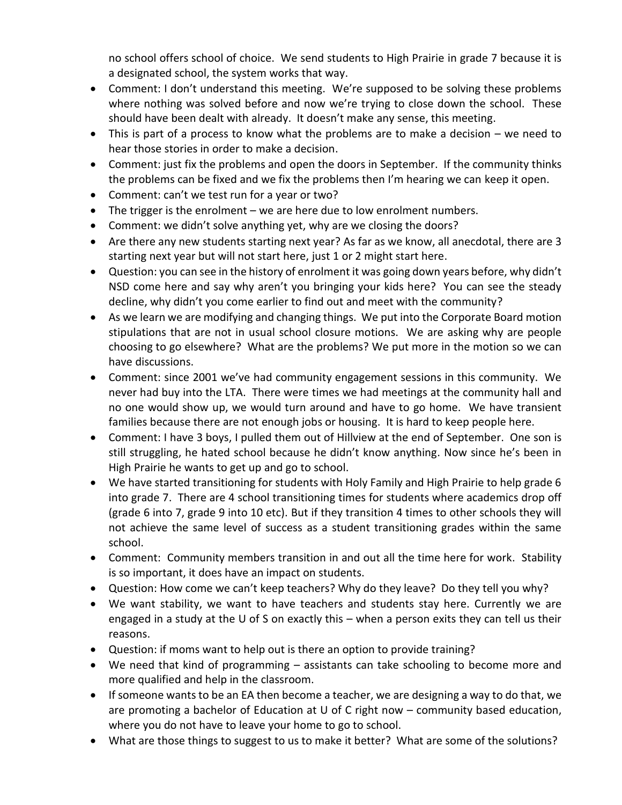no school offers school of choice. We send students to High Prairie in grade 7 because it is a designated school, the system works that way.

- Comment: I don't understand this meeting. We're supposed to be solving these problems where nothing was solved before and now we're trying to close down the school. These should have been dealt with already. It doesn't make any sense, this meeting.
- This is part of a process to know what the problems are to make a decision we need to hear those stories in order to make a decision.
- Comment: just fix the problems and open the doors in September. If the community thinks the problems can be fixed and we fix the problems then I'm hearing we can keep it open.
- Comment: can't we test run for a year or two?
- $\bullet$  The trigger is the enrolment we are here due to low enrolment numbers.
- Comment: we didn't solve anything yet, why are we closing the doors?
- Are there any new students starting next year? As far as we know, all anecdotal, there are 3 starting next year but will not start here, just 1 or 2 might start here.
- Question: you can see in the history of enrolment it was going down years before, why didn't NSD come here and say why aren't you bringing your kids here? You can see the steady decline, why didn't you come earlier to find out and meet with the community?
- As we learn we are modifying and changing things. We put into the Corporate Board motion stipulations that are not in usual school closure motions. We are asking why are people choosing to go elsewhere? What are the problems? We put more in the motion so we can have discussions.
- Comment: since 2001 we've had community engagement sessions in this community. We never had buy into the LTA. There were times we had meetings at the community hall and no one would show up, we would turn around and have to go home. We have transient families because there are not enough jobs or housing. It is hard to keep people here.
- Comment: I have 3 boys, I pulled them out of Hillview at the end of September. One son is still struggling, he hated school because he didn't know anything. Now since he's been in High Prairie he wants to get up and go to school.
- We have started transitioning for students with Holy Family and High Prairie to help grade 6 into grade 7. There are 4 school transitioning times for students where academics drop off (grade 6 into 7, grade 9 into 10 etc). But if they transition 4 times to other schools they will not achieve the same level of success as a student transitioning grades within the same school.
- Comment: Community members transition in and out all the time here for work. Stability is so important, it does have an impact on students.
- Question: How come we can't keep teachers? Why do they leave? Do they tell you why?
- We want stability, we want to have teachers and students stay here. Currently we are engaged in a study at the U of S on exactly this – when a person exits they can tell us their reasons.
- Question: if moms want to help out is there an option to provide training?
- We need that kind of programming assistants can take schooling to become more and more qualified and help in the classroom.
- If someone wants to be an EA then become a teacher, we are designing a way to do that, we are promoting a bachelor of Education at U of C right now – community based education, where you do not have to leave your home to go to school.
- What are those things to suggest to us to make it better? What are some of the solutions?